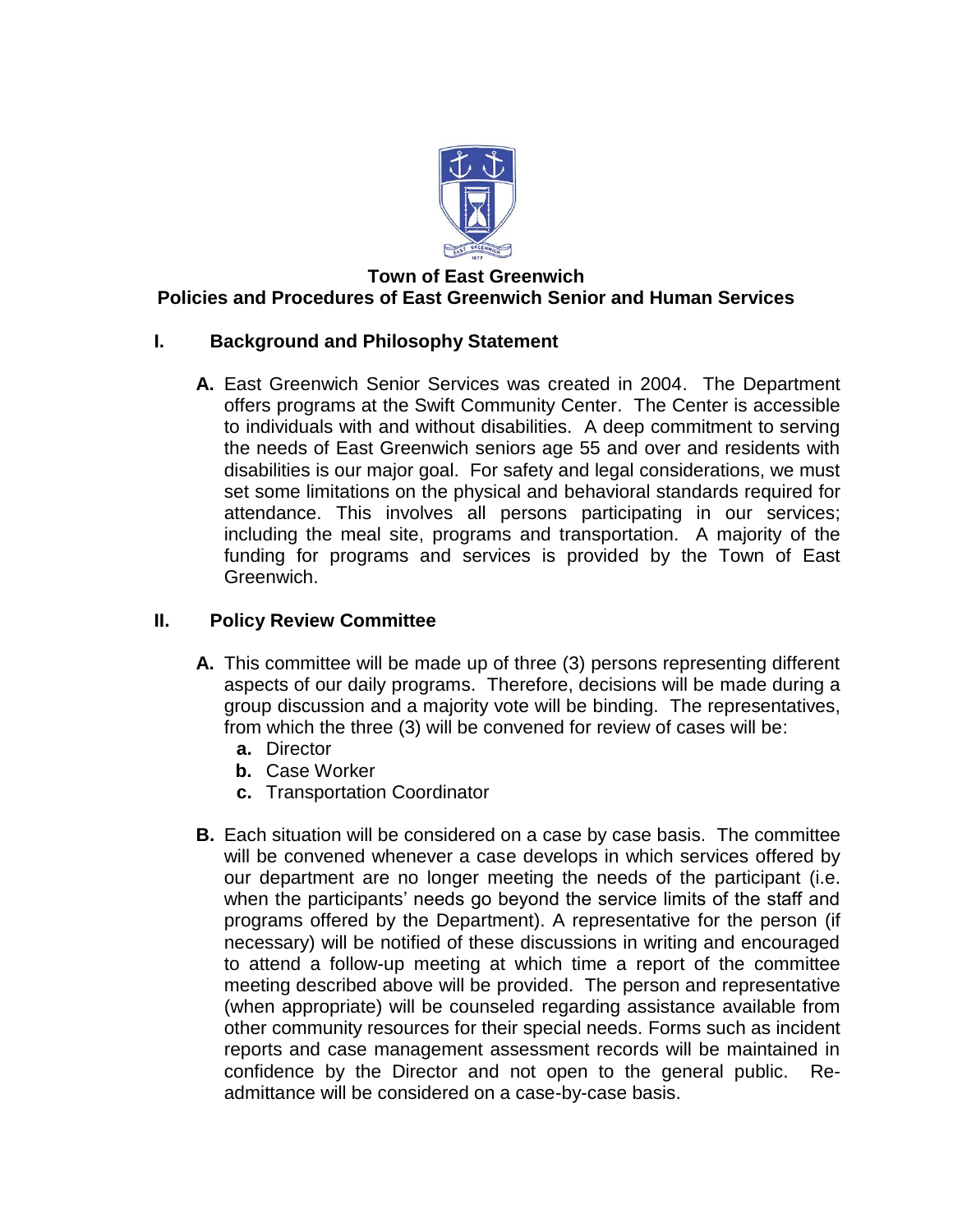

# **Town of East Greenwich Policies and Procedures of East Greenwich Senior and Human Services**

# **I. Background and Philosophy Statement**

**A.** East Greenwich Senior Services was created in 2004. The Department offers programs at the Swift Community Center. The Center is accessible to individuals with and without disabilities. A deep commitment to serving the needs of East Greenwich seniors age 55 and over and residents with disabilities is our major goal. For safety and legal considerations, we must set some limitations on the physical and behavioral standards required for attendance. This involves all persons participating in our services; including the meal site, programs and transportation. A majority of the funding for programs and services is provided by the Town of East Greenwich.

# **II. Policy Review Committee**

- **A.** This committee will be made up of three (3) persons representing different aspects of our daily programs. Therefore, decisions will be made during a group discussion and a majority vote will be binding. The representatives, from which the three (3) will be convened for review of cases will be:
	- **a.** Director
	- **b.** Case Worker
	- **c.** Transportation Coordinator
- **B.** Each situation will be considered on a case by case basis. The committee will be convened whenever a case develops in which services offered by our department are no longer meeting the needs of the participant (i.e. when the participants' needs go beyond the service limits of the staff and programs offered by the Department). A representative for the person (if necessary) will be notified of these discussions in writing and encouraged to attend a follow-up meeting at which time a report of the committee meeting described above will be provided. The person and representative (when appropriate) will be counseled regarding assistance available from other community resources for their special needs. Forms such as incident reports and case management assessment records will be maintained in confidence by the Director and not open to the general public. Readmittance will be considered on a case-by-case basis.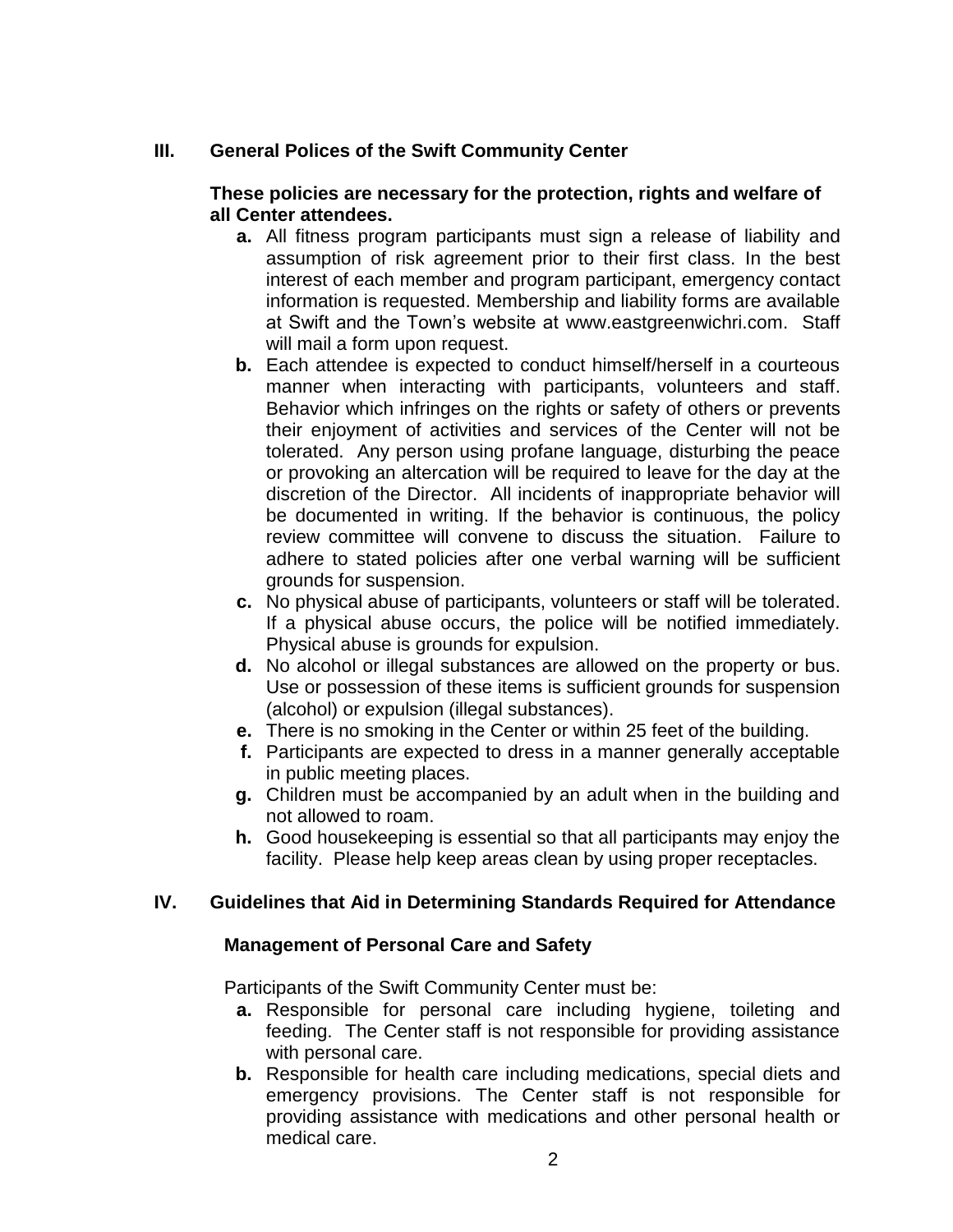## **III. General Polices of the Swift Community Center**

## **These policies are necessary for the protection, rights and welfare of all Center attendees.**

- **a.** All fitness program participants must sign a release of liability and assumption of risk agreement prior to their first class. In the best interest of each member and program participant, emergency contact information is requested. Membership and liability forms are available at Swift and the Town's website at [www.eastgreenwichri.com.](http://www.eastgreenwichri.com/) Staff will mail a form upon request.
- **b.** Each attendee is expected to conduct himself/herself in a courteous manner when interacting with participants, volunteers and staff. Behavior which infringes on the rights or safety of others or prevents their enjoyment of activities and services of the Center will not be tolerated. Any person using profane language, disturbing the peace or provoking an altercation will be required to leave for the day at the discretion of the Director. All incidents of inappropriate behavior will be documented in writing. If the behavior is continuous, the policy review committee will convene to discuss the situation. Failure to adhere to stated policies after one verbal warning will be sufficient grounds for suspension.
- **c.** No physical abuse of participants, volunteers or staff will be tolerated. If a physical abuse occurs, the police will be notified immediately. Physical abuse is grounds for expulsion.
- **d.** No alcohol or illegal substances are allowed on the property or bus. Use or possession of these items is sufficient grounds for suspension (alcohol) or expulsion (illegal substances).
- **e.** There is no smoking in the Center or within 25 feet of the building.
- **f.** Participants are expected to dress in a manner generally acceptable in public meeting places.
- **g.** Children must be accompanied by an adult when in the building and not allowed to roam.
- **h.** Good housekeeping is essential so that all participants may enjoy the facility. Please help keep areas clean by using proper receptacles.

# **IV. Guidelines that Aid in Determining Standards Required for Attendance**

## **Management of Personal Care and Safety**

Participants of the Swift Community Center must be:

- **a.** Responsible for personal care including hygiene, toileting and feeding. The Center staff is not responsible for providing assistance with personal care.
- **b.** Responsible for health care including medications, special diets and emergency provisions. The Center staff is not responsible for providing assistance with medications and other personal health or medical care.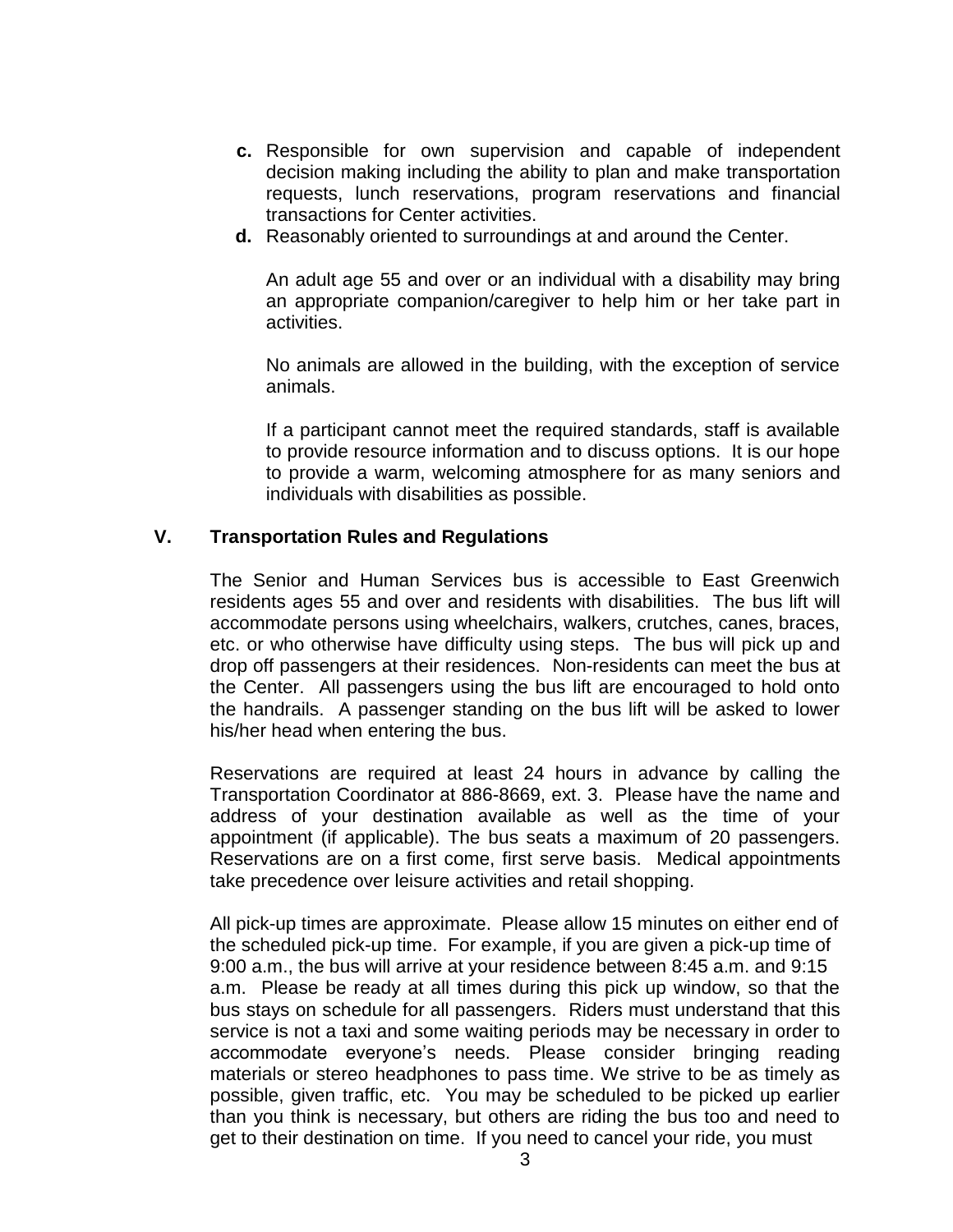- **c.** Responsible for own supervision and capable of independent decision making including the ability to plan and make transportation requests, lunch reservations, program reservations and financial transactions for Center activities.
- **d.** Reasonably oriented to surroundings at and around the Center.

An adult age 55 and over or an individual with a disability may bring an appropriate companion/caregiver to help him or her take part in activities.

No animals are allowed in the building, with the exception of service animals.

If a participant cannot meet the required standards, staff is available to provide resource information and to discuss options. It is our hope to provide a warm, welcoming atmosphere for as many seniors and individuals with disabilities as possible.

### **V. Transportation Rules and Regulations**

The Senior and Human Services bus is accessible to East Greenwich residents ages 55 and over and residents with disabilities. The bus lift will accommodate persons using wheelchairs, walkers, crutches, canes, braces, etc. or who otherwise have difficulty using steps. The bus will pick up and drop off passengers at their residences. Non-residents can meet the bus at the Center.All passengers using the bus lift are encouraged to hold onto the handrails. A passenger standing on the bus lift will be asked to lower his/her head when entering the bus.

Reservations are required at least 24 hours in advance by calling the Transportation Coordinator at 886-8669, ext. 3. Please have the name and address of your destination available as well as the time of your appointment (if applicable). The bus seats a maximum of 20 passengers. Reservations are on a first come, first serve basis. Medical appointments take precedence over leisure activities and retail shopping.

All pick-up times are approximate. Please allow 15 minutes on either end of the scheduled pick-up time. For example, if you are given a pick-up time of 9:00 a.m., the bus will arrive at your residence between 8:45 a.m. and 9:15 a.m. Please be ready at all times during this pick up window, so that the bus stays on schedule for all passengers. Riders must understand that this service is not a taxi and some waiting periods may be necessary in order to accommodate everyone's needs. Please consider bringing reading materials or stereo headphones to pass time. We strive to be as timely as possible, given traffic, etc. You may be scheduled to be picked up earlier than you think is necessary, but others are riding the bus too and need to get to their destination on time. If you need to cancel your ride, you must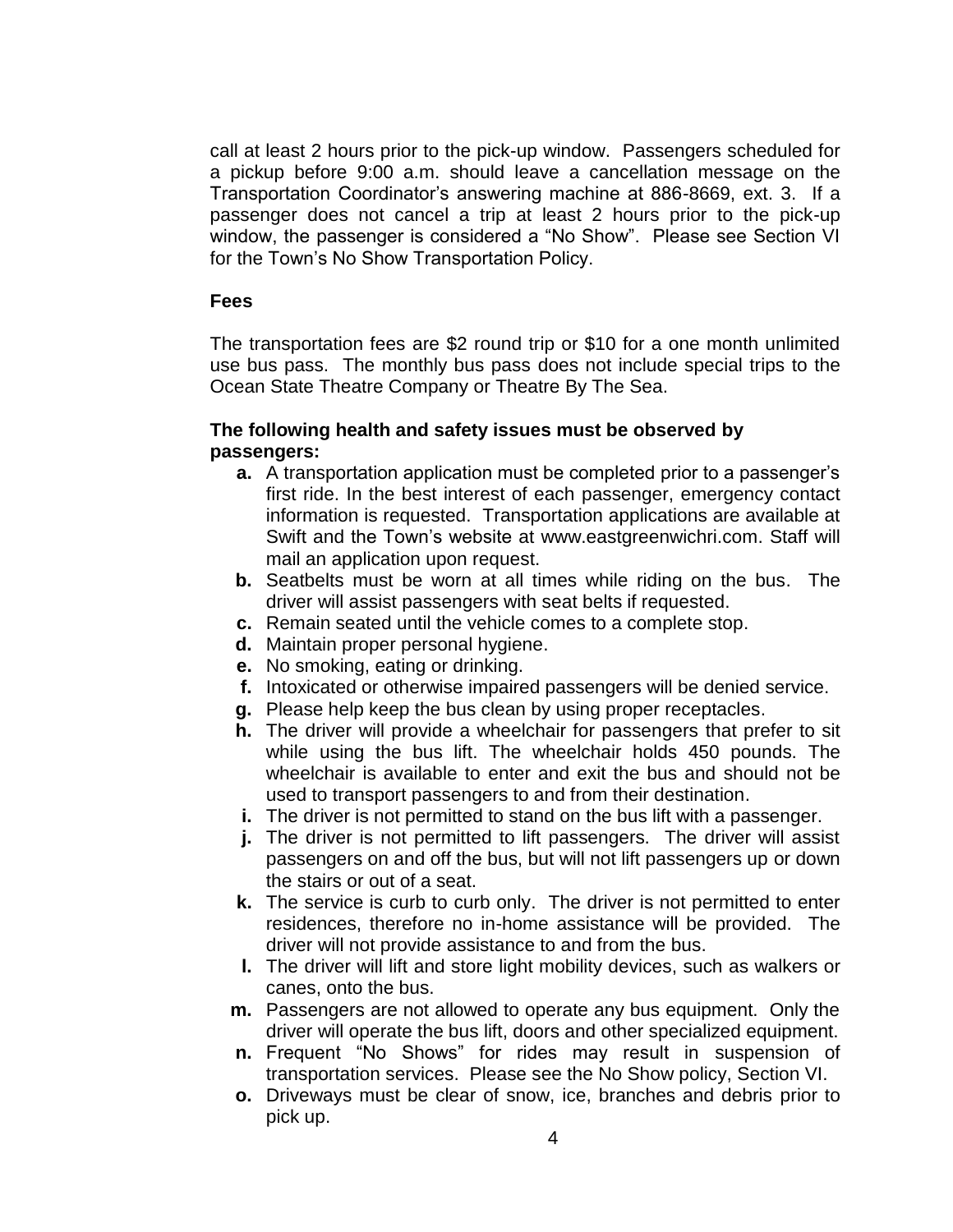call at least 2 hours prior to the pick-up window. Passengers scheduled for a pickup before 9:00 a.m. should leave a cancellation message on the Transportation Coordinator's answering machine at 886-8669, ext. 3. If a passenger does not cancel a trip at least 2 hours prior to the pick-up window, the passenger is considered a "No Show". Please see Section VI for the Town's No Show Transportation Policy.

## **Fees**

The transportation fees are \$2 round trip or \$10 for a one month unlimited use bus pass. The monthly bus pass does not include special trips to the Ocean State Theatre Company or Theatre By The Sea.

## **The following health and safety issues must be observed by passengers:**

- **a.** A transportation application must be completed prior to a passenger's first ride. In the best interest of each passenger, emergency contact information is requested. Transportation applications are available at Swift and the Town's website at [www.eastgreenwichri.com.](http://www.eastgreenwichri.com/) Staff will mail an application upon request.
- **b.** Seatbelts must be worn at all times while riding on the bus. The driver will assist passengers with seat belts if requested.
- **c.** Remain seated until the vehicle comes to a complete stop.
- **d.** Maintain proper personal hygiene.
- **e.** No smoking, eating or drinking.
- **f.** Intoxicated or otherwise impaired passengers will be denied service.
- **g.** Please help keep the bus clean by using proper receptacles.
- **h.** The driver will provide a wheelchair for passengers that prefer to sit while using the bus lift. The wheelchair holds 450 pounds. The wheelchair is available to enter and exit the bus and should not be used to transport passengers to and from their destination.
- **i.** The driver is not permitted to stand on the bus lift with a passenger.
- **j.** The driver is not permitted to lift passengers. The driver will assist passengers on and off the bus, but will not lift passengers up or down the stairs or out of a seat.
- **k.** The service is curb to curb only. The driver is not permitted to enter residences, therefore no in-home assistance will be provided. The driver will not provide assistance to and from the bus.
- **l.** The driver will lift and store light mobility devices, such as walkers or canes, onto the bus.
- **m.** Passengers are not allowed to operate any bus equipment. Only the driver will operate the bus lift, doors and other specialized equipment.
- **n.** Frequent "No Shows" for rides may result in suspension of transportation services. Please see the No Show policy, Section VI.
- **o.** Driveways must be clear of snow, ice, branches and debris prior to pick up.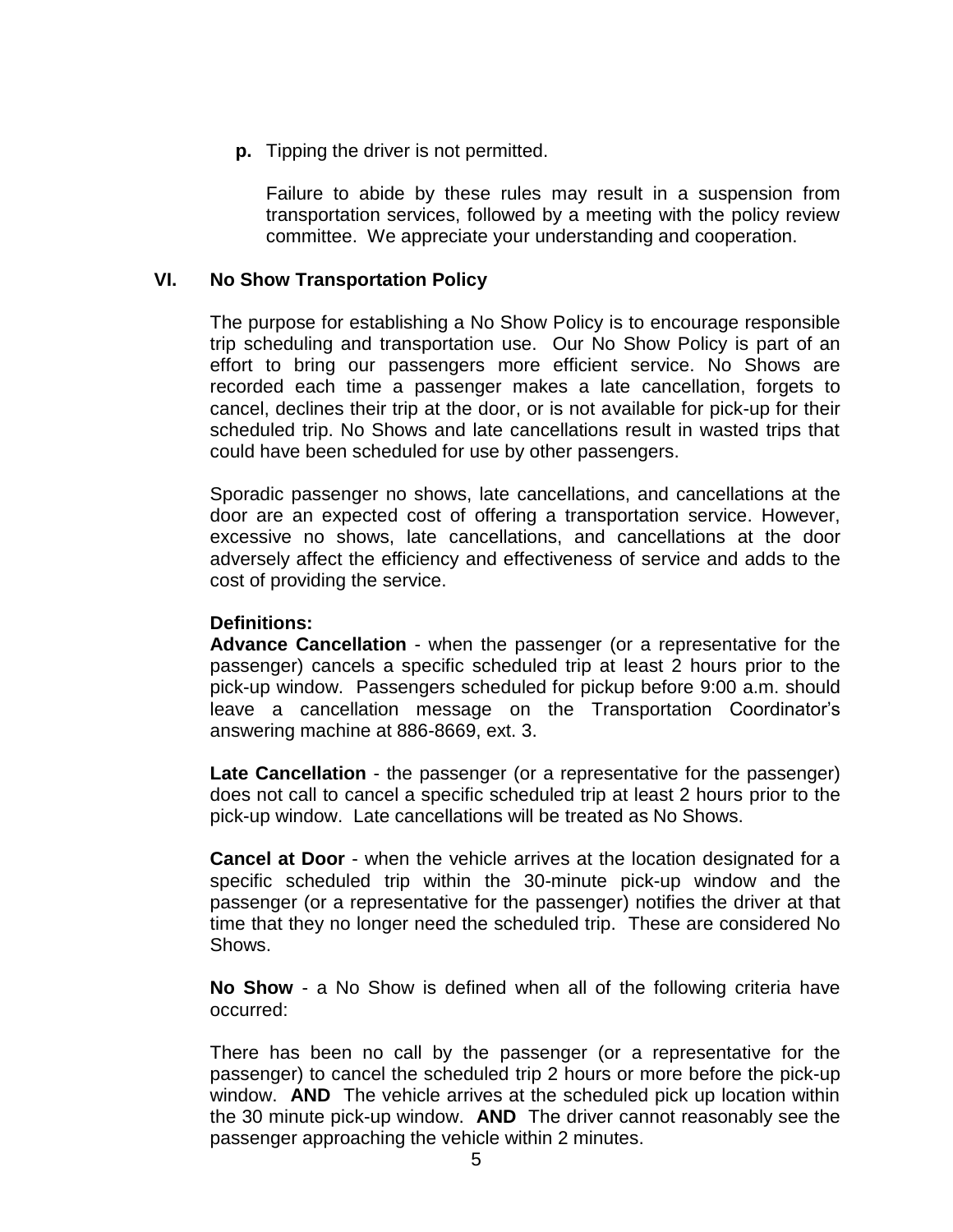**p.** Tipping the driver is not permitted.

Failure to abide by these rules may result in a suspension from transportation services, followed by a meeting with the policy review committee. We appreciate your understanding and cooperation.

### **VI. No Show Transportation Policy**

The purpose for establishing a No Show Policy is to encourage responsible trip scheduling and transportation use. Our No Show Policy is part of an effort to bring our passengers more efficient service. No Shows are recorded each time a passenger makes a late cancellation, forgets to cancel, declines their trip at the door, or is not available for pick-up for their scheduled trip. No Shows and late cancellations result in wasted trips that could have been scheduled for use by other passengers.

Sporadic passenger no shows, late cancellations, and cancellations at the door are an expected cost of offering a transportation service. However, excessive no shows, late cancellations, and cancellations at the door adversely affect the efficiency and effectiveness of service and adds to the cost of providing the service.

#### **Definitions:**

**Advance Cancellation** - when the passenger (or a representative for the passenger) cancels a specific scheduled trip at least 2 hours prior to the pick-up window. Passengers scheduled for pickup before 9:00 a.m. should leave a cancellation message on the Transportation Coordinator's answering machine at 886-8669, ext. 3.

**Late Cancellation** - the passenger (or a representative for the passenger) does not call to cancel a specific scheduled trip at least 2 hours prior to the pick-up window. Late cancellations will be treated as No Shows.

**Cancel at Door** - when the vehicle arrives at the location designated for a specific scheduled trip within the 30-minute pick-up window and the passenger (or a representative for the passenger) notifies the driver at that time that they no longer need the scheduled trip.These are considered No Shows.

**No Show** - a No Show is defined when all of the following criteria have occurred:

There has been no call by the passenger (or a representative for the passenger) to cancel the scheduled trip 2 hours or more before the pick-up window. **AND** The vehicle arrives at the scheduled pick up location within the 30 minute pick-up window. **AND** The driver cannot reasonably see the passenger approaching the vehicle within 2 minutes.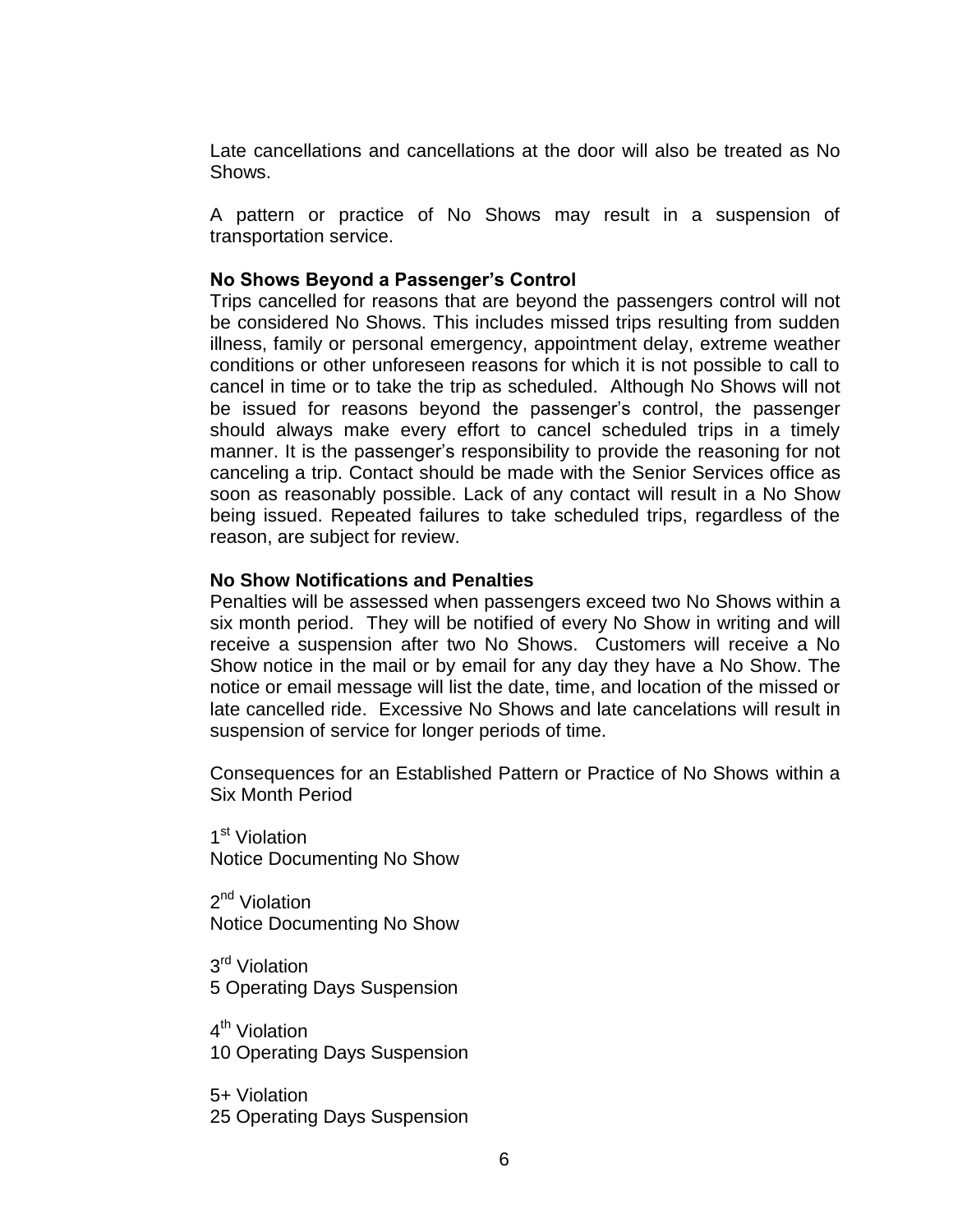Late cancellations and cancellations at the door will also be treated as No Shows.

A pattern or practice of No Shows may result in a suspension of transportation service.

### **No Shows Beyond a Passenger's Control**

Trips cancelled for reasons that are beyond the passengers control will not be considered No Shows. This includes missed trips resulting from sudden illness, family or personal emergency, appointment delay, extreme weather conditions or other unforeseen reasons for which it is not possible to call to cancel in time or to take the trip as scheduled. Although No Shows will not be issued for reasons beyond the passenger's control, the passenger should always make every effort to cancel scheduled trips in a timely manner. It is the passenger's responsibility to provide the reasoning for not canceling a trip. Contact should be made with the Senior Services office as soon as reasonably possible. Lack of any contact will result in a No Show being issued. Repeated failures to take scheduled trips, regardless of the reason, are subject for review.

#### **No Show Notifications and Penalties**

Penalties will be assessed when passengers exceed two No Shows within a six month period. They will be notified of every No Show in writing and will receive a suspension after two No Shows. Customers will receive a No Show notice in the mail or by email for any day they have a No Show. The notice or email message will list the date, time, and location of the missed or late cancelled ride. Excessive No Shows and late cancelations will result in suspension of service for longer periods of time.

Consequences for an Established Pattern or Practice of No Shows within a Six Month Period

1<sup>st</sup> Violation Notice Documenting No Show

2<sup>nd</sup> Violation Notice Documenting No Show

3<sup>rd</sup> Violation 5 Operating Days Suspension

4<sup>th</sup> Violation 10 Operating Days Suspension

5+ Violation 25 Operating Days Suspension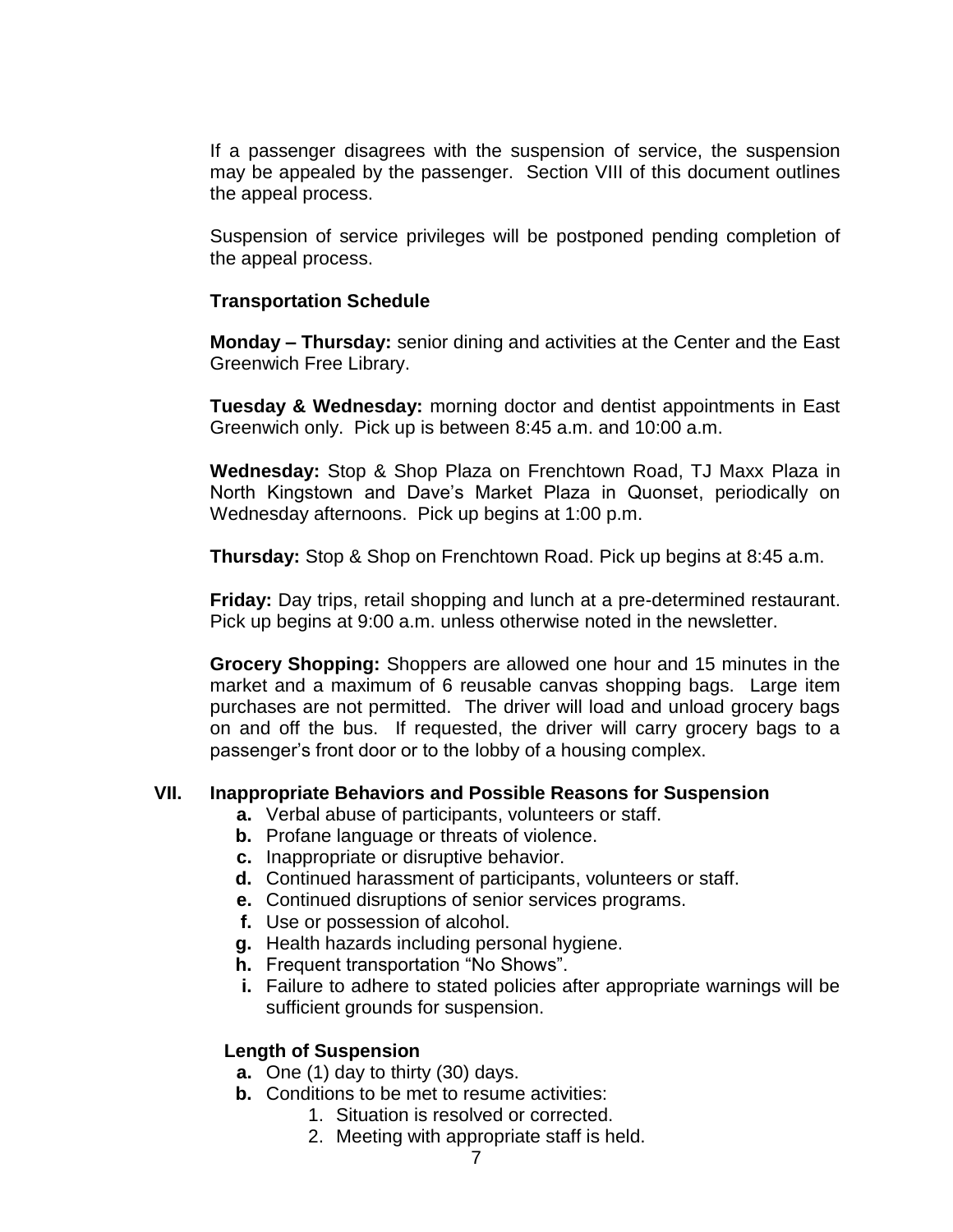If a passenger disagrees with the suspension of service, the suspension may be appealed by the passenger. Section VIII of this document outlines the appeal process.

Suspension of service privileges will be postponed pending completion of the appeal process.

## **Transportation Schedule**

**Monday – Thursday:** senior dining and activities at the Center and the East Greenwich Free Library.

**Tuesday & Wednesday:** morning doctor and dentist appointments in East Greenwich only. Pick up is between 8:45 a.m. and 10:00 a.m.

**Wednesday:** Stop & Shop Plaza on Frenchtown Road, TJ Maxx Plaza in North Kingstown and Dave's Market Plaza in Quonset, periodically on Wednesday afternoons. Pick up begins at 1:00 p.m.

**Thursday:** Stop & Shop on Frenchtown Road. Pick up begins at 8:45 a.m.

**Friday:** Day trips, retail shopping and lunch at a pre-determined restaurant. Pick up begins at 9:00 a.m. unless otherwise noted in the newsletter.

**Grocery Shopping:** Shoppers are allowed one hour and 15 minutes in the market and a maximum of 6 reusable canvas shopping bags. Large item purchases are not permitted. The driver will load and unload grocery bags on and off the bus. If requested, the driver will carry grocery bags to a passenger's front door or to the lobby of a housing complex.

## **VII. Inappropriate Behaviors and Possible Reasons for Suspension**

- **a.** Verbal abuse of participants, volunteers or staff.
- **b.** Profane language or threats of violence.
- **c.** Inappropriate or disruptive behavior.
- **d.** Continued harassment of participants, volunteers or staff.
- **e.** Continued disruptions of senior services programs.
- **f.** Use or possession of alcohol.
- **g.** Health hazards including personal hygiene.
- **h.** Frequent transportation "No Shows".
- **i.** Failure to adhere to stated policies after appropriate warnings will be sufficient grounds for suspension.

## **Length of Suspension**

- **a.** One (1) day to thirty (30) days.
- **b.** Conditions to be met to resume activities:
	- 1. Situation is resolved or corrected.
		- 2. Meeting with appropriate staff is held.